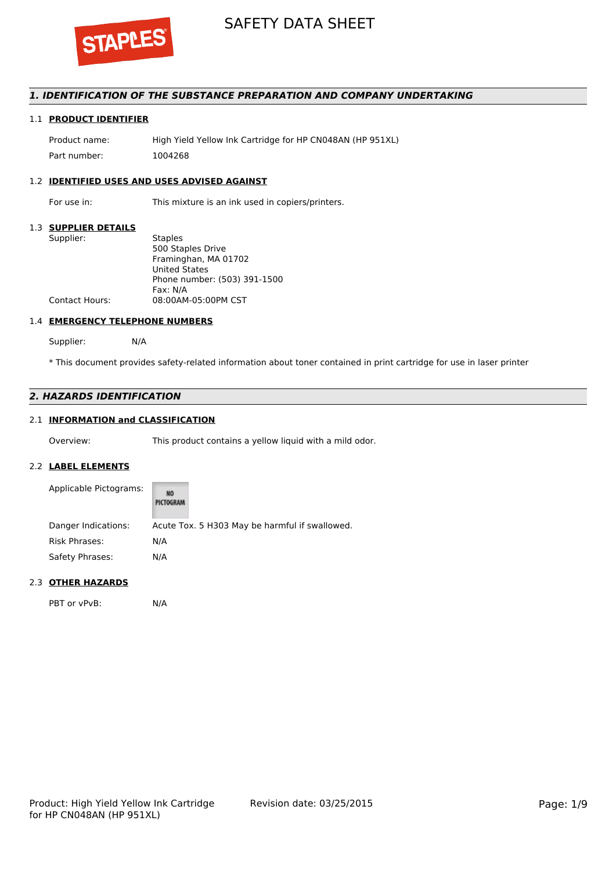

# *1. IDENTIFICATION OF THE SUBSTANCE PREPARATION AND COMPANY UNDERTAKING*

# 1.1 **PRODUCT IDENTIFIER**

Product name: High Yield Yellow Ink Cartridge for HP CN048AN (HP 951XL) Part number: 1004268

# 1.2 **IDENTIFIED USES AND USES ADVISED AGAINST**

For use in: This mixture is an ink used in copiers/printers.

#### 1.3 **SUPPLIER DETAILS**

| Supplier:             | <b>Staples</b>               |
|-----------------------|------------------------------|
|                       | 500 Staples Drive            |
|                       | Framinghan, MA 01702         |
|                       | <b>United States</b>         |
|                       | Phone number: (503) 391-1500 |
|                       | Fax: N/A                     |
| <b>Contact Hours:</b> | 08:00AM-05:00PM CST          |
|                       |                              |

## 1.4 **EMERGENCY TELEPHONE NUMBERS**

Supplier: N/A

\* This document provides safety-related information about toner contained in print cartridge for use in laser printer

# *2. HAZARDS IDENTIFICATION*

## 2.1 **INFORMATION and CLASSIFICATION**

Overview: This product contains a yellow liquid with a mild odor.

## 2.2 **LABEL ELEMENTS**

| Applicable Pictograms: | NO<br><b>PICTOGRAM</b>                         |
|------------------------|------------------------------------------------|
| Danger Indications:    | Acute Tox. 5 H303 May be harmful if swallowed. |
| <b>Risk Phrases:</b>   | N/A                                            |
| Safety Phrases:        | N/A                                            |

## 2.3 **OTHER HAZARDS**

PBT or vPvB: N/A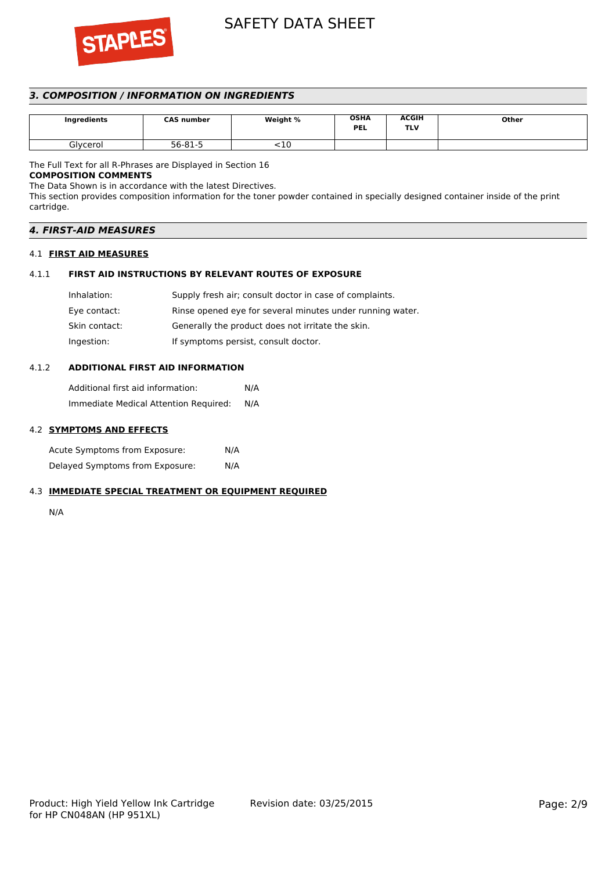

# *3. COMPOSITION / INFORMATION ON INGREDIENTS*

| Ingredients | <b>CAS number</b> | Weight % | <b>OSHA</b><br><b>PEL</b> | <b>ACGIH</b><br>TLV | Other |
|-------------|-------------------|----------|---------------------------|---------------------|-------|
| Glycerol    | 56-81-5           | ΠU       |                           |                     |       |

The Full Text for all R-Phrases are Displayed in Section 16

# **COMPOSITION COMMENTS**

The Data Shown is in accordance with the latest Directives.

This section provides composition information for the toner powder contained in specially designed container inside of the print cartridge.

| <b>4. FIRST-AID MEASURES</b> |  |
|------------------------------|--|
|                              |  |
|                              |  |

## 4.1 **FIRST AID MEASURES**

# 4.1.1 **FIRST AID INSTRUCTIONS BY RELEVANT ROUTES OF EXPOSURE**

| Inhalation:   | Supply fresh air; consult doctor in case of complaints.   |
|---------------|-----------------------------------------------------------|
| Eye contact:  | Rinse opened eye for several minutes under running water. |
| Skin contact: | Generally the product does not irritate the skin.         |
| Ingestion:    | If symptoms persist, consult doctor.                      |

## 4.1.2 **ADDITIONAL FIRST AID INFORMATION**

Additional first aid information: N/A Immediate Medical Attention Required: N/A

## 4.2 **SYMPTOMS AND EFFECTS**

Acute Symptoms from Exposure: N/A Delayed Symptoms from Exposure: N/A

# 4.3 **IMMEDIATE SPECIAL TREATMENT OR EQUIPMENT REQUIRED**

N/A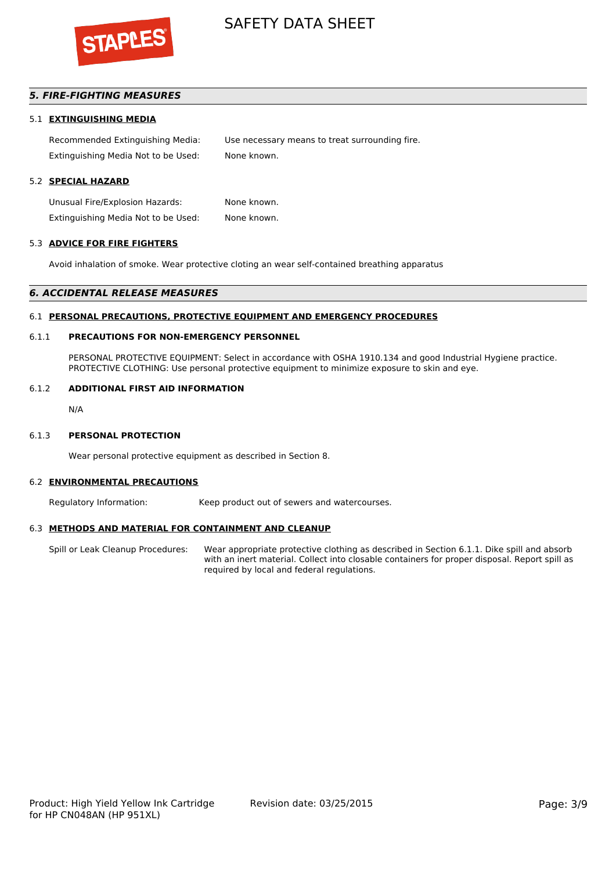

# *5. FIRE-FIGHTING MEASURES*

## 5.1 **EXTINGUISHING MEDIA**

Recommended Extinguishing Media: Use necessary means to treat surrounding fire. Extinguishing Media Not to be Used: None known.

## 5.2 **SPECIAL HAZARD**

Unusual Fire/Explosion Hazards: None known. Extinguishing Media Not to be Used: None known.

#### 5.3 **ADVICE FOR FIRE FIGHTERS**

Avoid inhalation of smoke. Wear protective cloting an wear self-contained breathing apparatus

#### *6. ACCIDENTAL RELEASE MEASURES*

#### 6.1 **PERSONAL PRECAUTIONS, PROTECTIVE EQUIPMENT AND EMERGENCY PROCEDURES**

## 6.1.1 **PRECAUTIONS FOR NON-EMERGENCY PERSONNEL**

PERSONAL PROTECTIVE EQUIPMENT: Select in accordance with OSHA 1910.134 and good Industrial Hygiene practice. PROTECTIVE CLOTHING: Use personal protective equipment to minimize exposure to skin and eye.

#### 6.1.2 **ADDITIONAL FIRST AID INFORMATION**

N/A

#### 6.1.3 **PERSONAL PROTECTION**

Wear personal protective equipment as described in Section 8.

#### 6.2 **ENVIRONMENTAL PRECAUTIONS**

Regulatory Information: Keep product out of sewers and watercourses.

#### 6.3 **METHODS AND MATERIAL FOR CONTAINMENT AND CLEANUP**

Spill or Leak Cleanup Procedures: Wear appropriate protective clothing as described in Section 6.1.1. Dike spill and absorb with an inert material. Collect into closable containers for proper disposal. Report spill as required by local and federal regulations.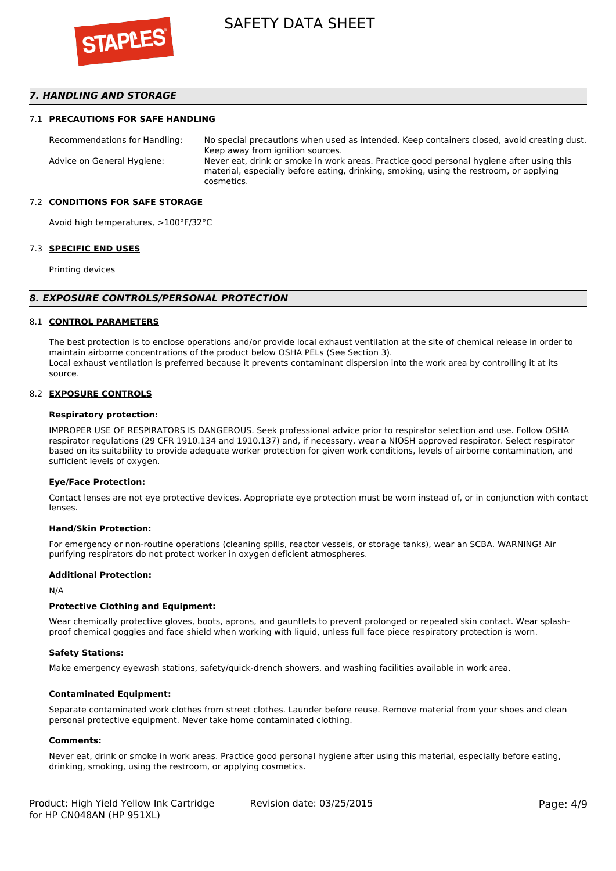

## *7. HANDLING AND STORAGE*

### 7.1 **PRECAUTIONS FOR SAFE HANDLING**

Recommendations for Handling: No special precautions when used as intended. Keep containers closed, avoid creating dust. Keep away from ignition sources. Advice on General Hygiene: Never eat, drink or smoke in work areas. Practice good personal hygiene after using this material, especially before eating, drinking, smoking, using the restroom, or applying cosmetics.

### 7.2 **CONDITIONS FOR SAFE STORAGE**

Avoid high temperatures, >100°F/32°C

#### 7.3 **SPECIFIC END USES**

Printing devices

#### *8. EXPOSURE CONTROLS/PERSONAL PROTECTION*

#### 8.1 **CONTROL PARAMETERS**

The best protection is to enclose operations and/or provide local exhaust ventilation at the site of chemical release in order to maintain airborne concentrations of the product below OSHA PELs (See Section 3). Local exhaust ventilation is preferred because it prevents contaminant dispersion into the work area by controlling it at its source.

#### 8.2 **EXPOSURE CONTROLS**

#### **Respiratory protection:**

IMPROPER USE OF RESPIRATORS IS DANGEROUS. Seek professional advice prior to respirator selection and use. Follow OSHA respirator regulations (29 CFR 1910.134 and 1910.137) and, if necessary, wear a NIOSH approved respirator. Select respirator based on its suitability to provide adequate worker protection for given work conditions, levels of airborne contamination, and sufficient levels of oxygen.

#### **Eye/Face Protection:**

Contact lenses are not eye protective devices. Appropriate eye protection must be worn instead of, or in conjunction with contact lenses.

#### **Hand/Skin Protection:**

For emergency or non-routine operations (cleaning spills, reactor vessels, or storage tanks), wear an SCBA. WARNING! Air purifying respirators do not protect worker in oxygen deficient atmospheres.

## **Additional Protection:**

N/A

## **Protective Clothing and Equipment:**

Wear chemically protective gloves, boots, aprons, and gauntlets to prevent prolonged or repeated skin contact. Wear splashproof chemical goggles and face shield when working with liquid, unless full face piece respiratory protection is worn.

#### **Safety Stations:**

Make emergency eyewash stations, safety/quick-drench showers, and washing facilities available in work area.

### **Contaminated Equipment:**

Separate contaminated work clothes from street clothes. Launder before reuse. Remove material from your shoes and clean personal protective equipment. Never take home contaminated clothing.

#### **Comments:**

Never eat, drink or smoke in work areas. Practice good personal hygiene after using this material, especially before eating, drinking, smoking, using the restroom, or applying cosmetics.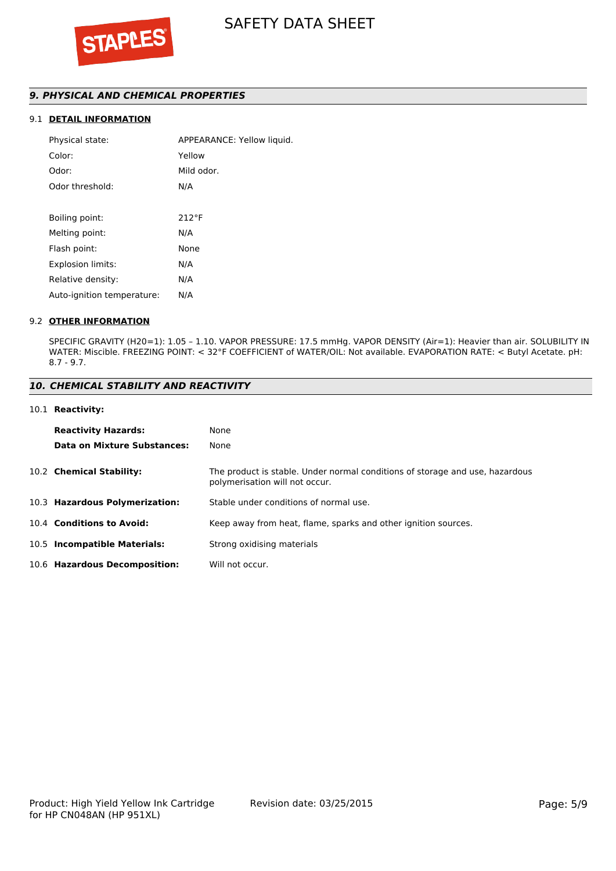# *9. PHYSICAL AND CHEMICAL PROPERTIES*

# 9.1 **DETAIL INFORMATION**

| APPEARANCE: Yellow liquid. |
|----------------------------|
| Yellow                     |
| Mild odor.                 |
| N/A                        |
|                            |
| $212^{\circ}F$             |
| N/A                        |
| None                       |
| N/A                        |
| N/A                        |
| N/A                        |
|                            |

## 9.2 **OTHER INFORMATION**

SPECIFIC GRAVITY (H20=1): 1.05 – 1.10. VAPOR PRESSURE: 17.5 mmHg. VAPOR DENSITY (Air=1): Heavier than air. SOLUBILITY IN WATER: Miscible. FREEZING POINT: < 32°F COEFFICIENT of WATER/OIL: Not available. EVAPORATION RATE: < Butyl Acetate. pH: 8.7 - 9.7.

## *10. CHEMICAL STABILITY AND REACTIVITY*

### 10.1 **Reactivity:**

| <b>Reactivity Hazards:</b>     | None                                                                                                           |
|--------------------------------|----------------------------------------------------------------------------------------------------------------|
| Data on Mixture Substances:    | None                                                                                                           |
| 10.2 Chemical Stability:       | The product is stable. Under normal conditions of storage and use, hazardous<br>polymerisation will not occur. |
| 10.3 Hazardous Polymerization: | Stable under conditions of normal use.                                                                         |
| 10.4 Conditions to Avoid:      | Keep away from heat, flame, sparks and other ignition sources.                                                 |
| 10.5 Incompatible Materials:   | Strong oxidising materials                                                                                     |
| 10.6 Hazardous Decomposition:  | Will not occur.                                                                                                |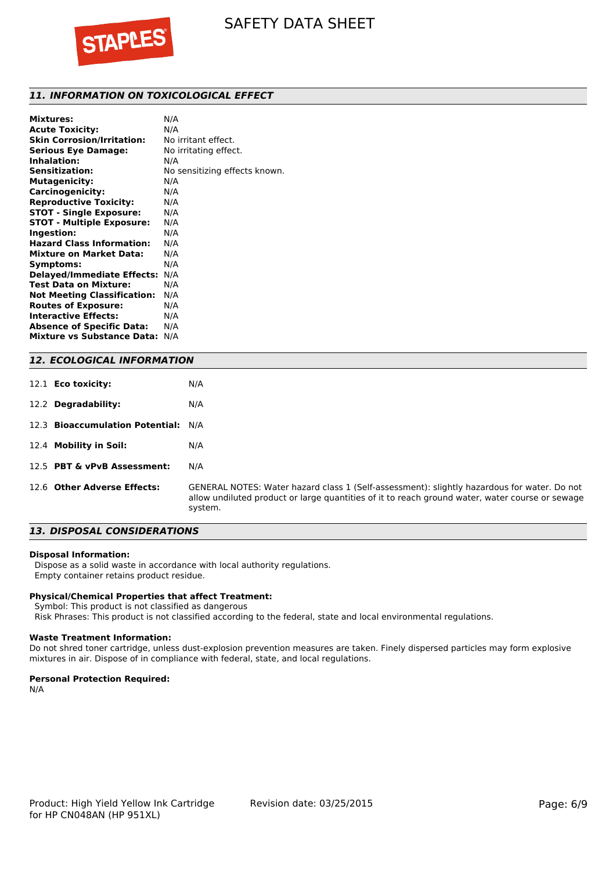

# *11. INFORMATION ON TOXICOLOGICAL EFFECT*

| N/A                           |
|-------------------------------|
| N/A                           |
| No irritant effect.           |
| No irritating effect.         |
| N/A                           |
| No sensitizing effects known. |
| N/A                           |
| N/A                           |
| N/A                           |
| N/A                           |
| N/A                           |
| N/A                           |
| N/A                           |
| N/A                           |
| N/A                           |
| N/A                           |
| N/A                           |
| N/A                           |
| N/A                           |
| N/A                           |
| N/A                           |
| N/A                           |
|                               |

## *12. ECOLOGICAL INFORMATION*

| 12.1 <b>Eco toxicity:</b>           | N/A                                                                                                                                                                                                       |
|-------------------------------------|-----------------------------------------------------------------------------------------------------------------------------------------------------------------------------------------------------------|
| 12.2 Degradability:                 | N/A                                                                                                                                                                                                       |
| 12.3 Bioaccumulation Potential: N/A |                                                                                                                                                                                                           |
| 12.4 Mobility in Soil:              | N/A                                                                                                                                                                                                       |
| 12.5 PBT & vPvB Assessment:         | N/A                                                                                                                                                                                                       |
| 12.6 Other Adverse Effects:         | GENERAL NOTES: Water hazard class 1 (Self-assessment): slightly hazardous for water. Do not<br>allow undiluted product or large quantities of it to reach ground water, water course or sewage<br>system. |

# *13. DISPOSAL CONSIDERATIONS*

#### **Disposal Information:**

 Dispose as a solid waste in accordance with local authority regulations. Empty container retains product residue.

### **Physical/Chemical Properties that affect Treatment:**

Symbol: This product is not classified as dangerous

Risk Phrases: This product is not classified according to the federal, state and local environmental regulations.

### **Waste Treatment Information:**

Do not shred toner cartridge, unless dust-explosion prevention measures are taken. Finely dispersed particles may form explosive mixtures in air. Dispose of in compliance with federal, state, and local regulations.

#### **Personal Protection Required:**

N/A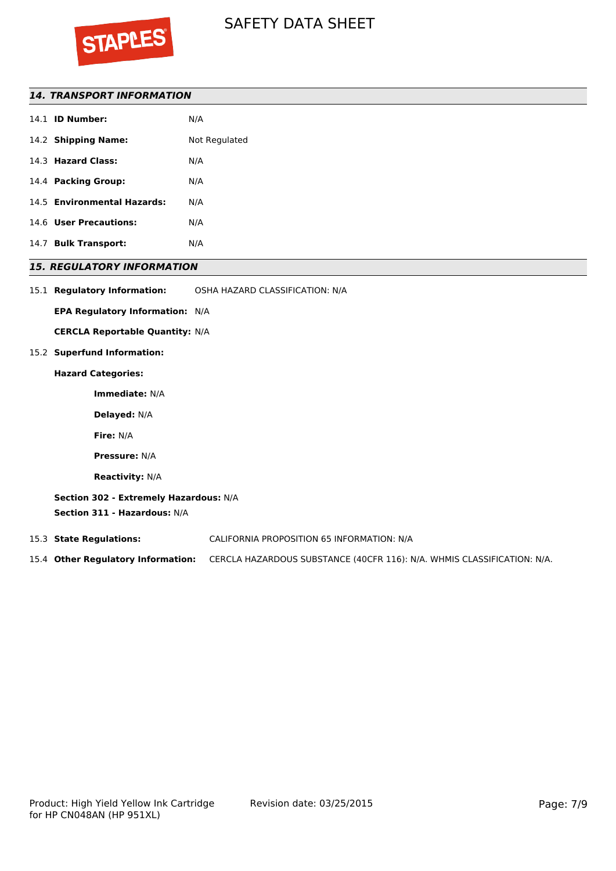

# *14. TRANSPORT INFORMATION*

| 14.1 <b>ID Number:</b>      | N/A           |
|-----------------------------|---------------|
| 14.2 Shipping Name:         | Not Regulated |
| 14.3 Hazard Class:          | N/A           |
| 14.4 Packing Group:         | N/A           |
| 14.5 Environmental Hazards: | N/A           |
| 14.6 User Precautions:      | N/A           |
| 14.7 Bulk Transport:        | N/A           |

# *15. REGULATORY INFORMATION*

| 15.1 Regulatory Information: | OSHA HAZARD CLASSIFICATION: N/A |
|------------------------------|---------------------------------|
|                              |                                 |

**EPA Regulatory Information:** N/A

**CERCLA Reportable Quantity:** N/A

## 15.2 **Superfund Information:**

### **Hazard Categories:**

**Immediate:** N/A

**Delayed:** N/A

**Fire:** N/A

**Pressure:** N/A

**Reactivity:** N/A

**Section 302 - Extremely Hazardous:** N/A **Section 311 - Hazardous:** N/A

15.3 **State Regulations:** CALIFORNIA PROPOSITION 65 INFORMATION: N/A

15.4 **Other Regulatory Information:** CERCLA HAZARDOUS SUBSTANCE (40CFR 116): N/A. WHMIS CLASSIFICATION: N/A.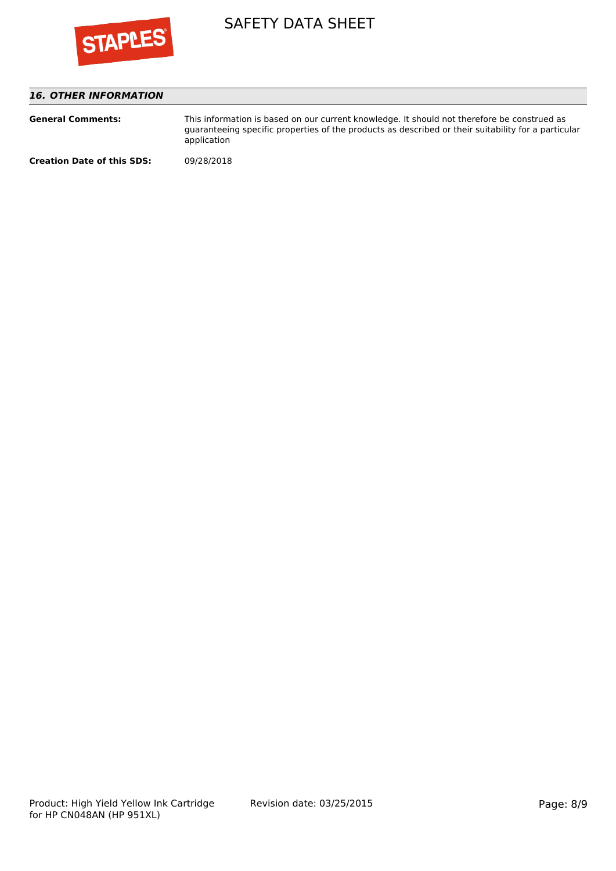

# *16. OTHER INFORMATION*

| <b>General Comments:</b>          | This information is based on our current knowledge. It should not therefore be construed as<br>quaranteeing specific properties of the products as described or their suitability for a particular<br>application |
|-----------------------------------|-------------------------------------------------------------------------------------------------------------------------------------------------------------------------------------------------------------------|
| <b>Creation Date of this SDS:</b> | 09/28/2018                                                                                                                                                                                                        |